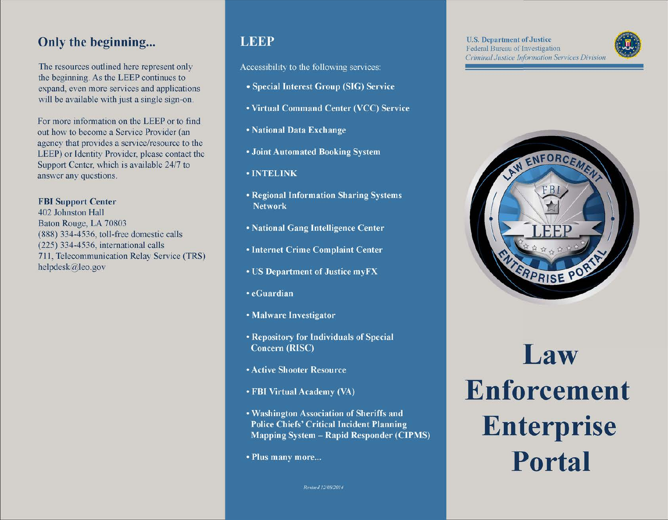# **Only the beginning...**

The resources outlined here represent only the beginning. As the LEEP continues to expand, even more services and applications will be available with just a single sign-on.

For more information on the LEEP or to find out how to become a Service Provider (an agency that provides a service/resource to the LEEP) or Identity Provider, please contact the Support Center, which is available 24/7 to answer any questions.

#### FBI Support Center

402 Johnston Hall Baton Rouge, LA 70803 (888) 334-4536, toll-free domestic calls (225) 334-4536, international calls 711, Telecommunication Relay Service (TRS) helpdesk@leo.gov

# **LEEP**

Accessibility to the following services:

- Special Interest Group (SIG) Service
- Virtual Command Center (VCC) Service
- National Data Exchange
- Joint Automated Booking System
- · INTELINK
- Regional Information Sharing Systems **Network**
- National Gang Intelligence Center
- **Internet Crime Complaint Center**
- US Department of Justice myFX
- eGuardian
- Malware Investigator
- Repository for Individuals of Special **Concern (RISC)**
- **Active Shooter Resource**
- FBI Virtual Academy (VA)
- . Washington Association of Sheriffs and **Police Chiefs' Critical Incident Planning Mapping System - Rapid Responder (CIPMS)**
- Plus many more...

Revised 12/08/2014

e



# **Law Enforcement Enterprise Portal**